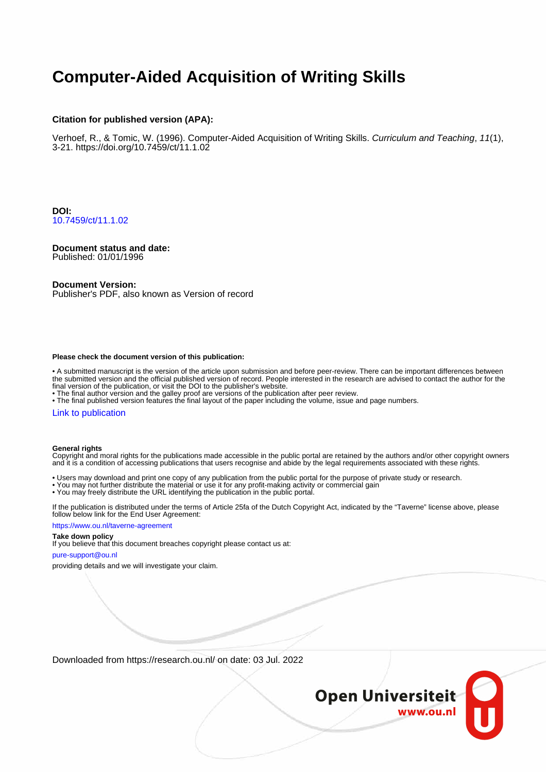# **Computer-Aided Acquisition of Writing Skills**

### **Citation for published version (APA):**

Verhoef, R., & Tomic, W. (1996). Computer-Aided Acquisition of Writing Skills. Curriculum and Teaching, 11(1), 3-21. <https://doi.org/10.7459/ct/11.1.02>

**DOI:** [10.7459/ct/11.1.02](https://doi.org/10.7459/ct/11.1.02)

#### **Document status and date:**

Published: 01/01/1996

#### **Document Version:**

Publisher's PDF, also known as Version of record

#### **Please check the document version of this publication:**

• A submitted manuscript is the version of the article upon submission and before peer-review. There can be important differences between the submitted version and the official published version of record. People interested in the research are advised to contact the author for the final version of the publication, or visit the DOI to the publisher's website.

• The final author version and the galley proof are versions of the publication after peer review.

• The final published version features the final layout of the paper including the volume, issue and page numbers.

# [Link to publication](https://research.ou.nl/en/publications/fe1322da-207d-4a6f-8242-f84082c58dd6)

#### **General rights**

Copyright and moral rights for the publications made accessible in the public portal are retained by the authors and/or other copyright owners and it is a condition of accessing publications that users recognise and abide by the legal requirements associated with these rights.

- Users may download and print one copy of any publication from the public portal for the purpose of private study or research.
- You may not further distribute the material or use it for any profit-making activity or commercial gain
- You may freely distribute the URL identifying the publication in the public portal.

If the publication is distributed under the terms of Article 25fa of the Dutch Copyright Act, indicated by the "Taverne" license above, please follow below link for the End User Agreement:

#### https://www.ou.nl/taverne-agreement

# **Take down policy**

If you believe that this document breaches copyright please contact us at:

#### pure-support@ou.nl

providing details and we will investigate your claim.

Downloaded from https://research.ou.nl/ on date: 03 Jul. 2022

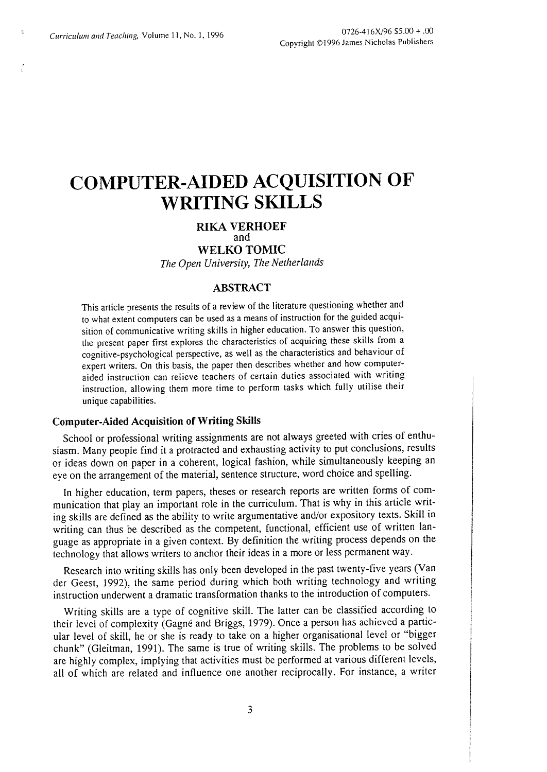# **COMPUTER-AIDED ACQUISITION OF WRITING SKILLS**

**RIKA VERHOEF** 

and **WELKO TOMIC** 

The Open University, The Netherlands

#### **ABSTRACT**

This article presents the results of a review of the literature questioning whether and to what extent computers can be used as a means of instruction for the guided acquisition of communicative writing skills in higher education. To answer this question, the present paper first explores the characteristics of acquiring these skills from a cognitive-psychological perspective, as well as the characteristics and behaviour of expert writers. On this basis, the paper then describes whether and how computeraided instruction can relieve teachers of certain duties associated with writing instruction, allowing them more time to perform tasks which fully utilise their unique capabilities.

# **Computer-Aided Acquisition of Writing Skills**

School or professional writing assignments are not always greeted with cries of enthusiasm. Many people find it a protracted and exhausting activity to put conclusions, results or ideas down on paper in a coherent, logical fashion, while simultaneously keeping an eye on the arrangement of the material, sentence structure, word choice and spelling.

In higher education, term papers, theses or research reports are written forms of communication that play an important role in the curriculum. That is why in this article writing skills are defined as the ability to write argumentative and/or expository texts. Skill in writing can thus be described as the competent, functional, efficient use of written language as appropriate in a given context. By definition the writing process depends on the technology that allows writers to anchor their ideas in a more or less permanent way.

Research into writing skills has only been developed in the past twenty-five years (Van der Geest, 1992), the same period during which both writing technology and writing instruction underwent a dramatic transformation thanks to the introduction of computers.

Writing skills are a type of cognitive skill. The latter can be classified according to their level of complexity (Gagné and Briggs, 1979). Once a person has achieved a particular level of skill, he or she is ready to take on a higher organisational level or "bigger chunk" (Gleitman, 1991). The same is true of writing skills. The problems to be solved are highly complex, implying that activities must be performed at various different levels, all of which are related and influence one another reciprocally. For instance, a writer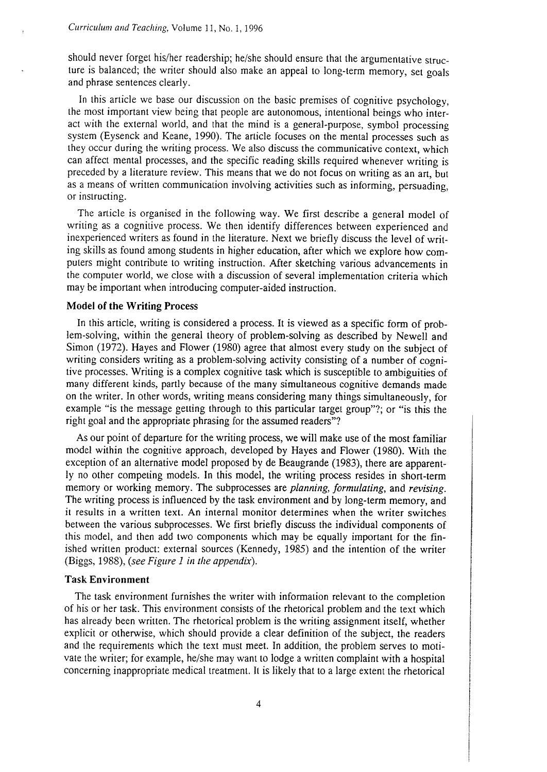should never forget his/her readership; he/she should ensure that the argumentative structure is balanced; the writer should also make an appeal to long-term memory, set goals and phrase sentences clearly.

In this article we base our discussion on the basic premises of cognitive psychology, the most important view being that people are autonomous, intentional beings who interact with the external world, and that the mind is a general-purpose, symbol processing system (Eysenck and Keane, 1990). The article focuses on the mental processes such as they occur during the writing process. We also discuss the communicative context, which can affect mental processes, and the specific reading skills required whenever writing is preceded by a literature review. This means that we do not focus on writing as an art, but as a means of written communication involving activities such as informing, persuading, or instructing.

The article is organised in the following way. We first describe a general model of writing as a cognitive process. We then identify differences between experienced and inexperienced writers as found in the literature. Next we briefly discuss the level of writing skills as found among students in higher education, after which we explore how computers might contribute to writing instruction. After sketching various advancements in the computer world, we close with a discussion of several implementation criteria which may be important when introducing computer-aided instruction.

#### **Model of the Writing Process**

In this article, writing is considered a process. It is viewed as a specific form of problem-solving, within the general theory of problem-solving as described by Newell and Simon (1972). Hayes and Flower (1980) agree that almost every study on the subject of writing considers writing as a problem-solving activity consisting of a number of cognitive processes. Writing is a complex cognitive task which is susceptible to ambiguities of many different kinds, partly because of the many simultaneous cognitive demands made on the writer. In other words, writing means considering many things simultaneously, for example "is the message getting through to this particular target group"?; or "is this the right goal and the appropriate phrasing for the assumed readers"?

As our point of departure for the writing process, we will make use of the most familiar model within the cognitive approach, developed by Hayes and Flower (1980). With the exception of an alternative model proposed by de Beaugrande (1983), there are apparently no other competing models. In this model, the writing process resides in short-term memory or working memory. The subprocesses are *planning*, *formulating*, and *revising*. The writing process is influenced by the task environment and by long-term memory, and it results in a written text. An internal monitor determines when the writer switches between the various subprocesses. We first briefly discuss the individual components of this model, and then add two components which may be equally important for the finished written product: external sources (Kennedy, 1985) and the intention of the writer (Biggs, 1988), (see Figure 1 in the appendix).

#### **Task Environment**

The task environment furnishes the writer with information relevant to the completion of his or her task. This environment consists of the rhetorical problem and the text which has already been written. The rhetorical problem is the writing assignment itself, whether explicit or otherwise, which should provide a clear definition of the subject, the readers and the requirements which the text must meet. In addition, the problem serves to motivate the writer; for example, he/she may want to lodge a written complaint with a hospital concerning inappropriate medical treatment. It is likely that to a large extent the rhetorical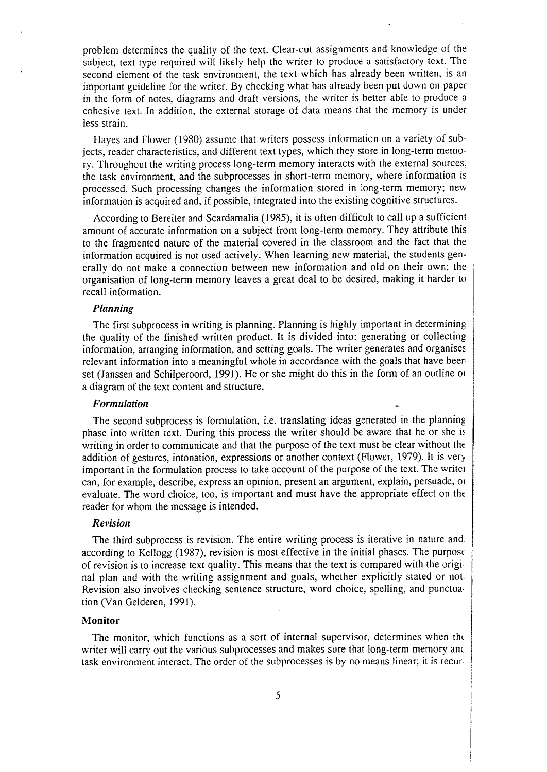problem determines the quality of the text. Clear-cut assignments and knowledge of the subject, text type required will likely help the writer to produce a satisfactory text. The second element of the task environment, the text which has already been written, is an important guideline for the writer. By checking what has already been put down on paper in the form of notes, diagrams and draft versions, the writer is better able to produce a cohesive text. In addition, the external storage of data means that the memory is under less strain.

Hayes and Flower (1980) assume that writers possess information on a variety of subjects, reader characteristics, and different text types, which they store in long-term memory. Throughout the writing process long-term memory interacts with the external sources, the task environment, and the subprocesses in short-term memory, where information is processed. Such processing changes the information stored in long-term memory; new information is acquired and, if possible, integrated into the existing cognitive structures.

According to Bereiter and Scardamalia (1985), it is often difficult to call up a sufficient amount of accurate information on a subject from long-term memory. They attribute this to the fragmented nature of the material covered in the classroom and the fact that the information acquired is not used actively. When learning new material, the students generally do not make a connection between new information and old on their own; the organisation of long-term memory leaves a great deal to be desired, making it harder to recall information.

#### Planning

The first subprocess in writing is planning. Planning is highly important in determining the quality of the finished written product. It is divided into: generating or collecting information, arranging information, and setting goals. The writer generates and organises relevant information into a meaningful whole in accordance with the goals that have been set (Janssen and Schilperoord, 1991). He or she might do this in the form of an outline or a diagram of the text content and structure.

#### Formulation

The second subprocess is formulation, i.e. translating ideas generated in the planning phase into written text. During this process the writer should be aware that he or she is writing in order to communicate and that the purpose of the text must be clear without the addition of gestures, intonation, expressions or another context (Flower, 1979). It is very important in the formulation process to take account of the purpose of the text. The writer can, for example, describe, express an opinion, present an argument, explain, persuade, or evaluate. The word choice, too, is important and must have the appropriate effect on the reader for whom the message is intended.

#### Revision

The third subprocess is revision. The entire writing process is iterative in nature and according to Kellogg (1987), revision is most effective in the initial phases. The purpose of revision is to increase text quality. This means that the text is compared with the original plan and with the writing assignment and goals, whether explicitly stated or not. Revision also involves checking sentence structure, word choice, spelling, and punctuation (Van Gelderen, 1991).

#### Monitor

The monitor, which functions as a sort of internal supervisor, determines when the writer will carry out the various subprocesses and makes sure that long-term memory and task environment interact. The order of the subprocesses is by no means linear; it is recur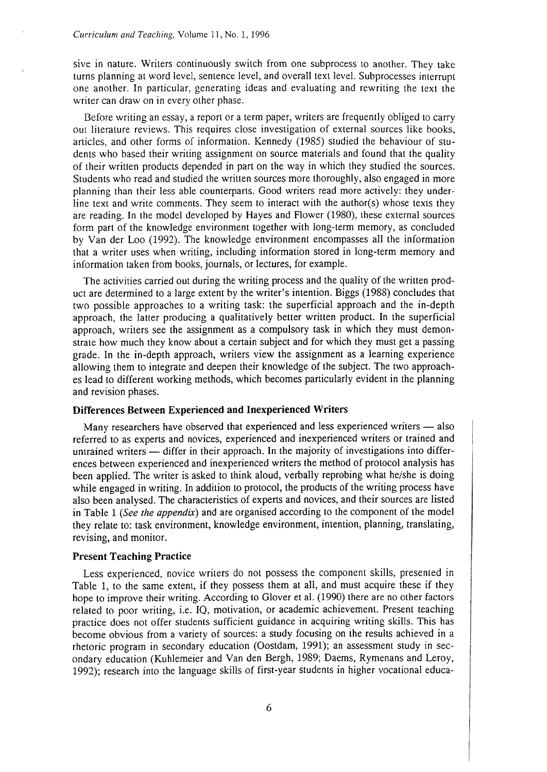sive in nature. Writers continuously switch from one subprocess to another. They take turns planning at word level, sentence level, and overall text level. Subprocesses interrupt one another. In particular, generating ideas and evaluating and rewriting the text the writer can draw on in every other phase.

Before writing an essay, a report or a term paper, writers are frequently obliged to carry out literature reviews. This requires close investigation of external sources like books, articles, and other forms of information. Kennedy (1985) studied the behaviour of students who based their writing assignment on source materials and found that the quality of their written products depended in part on the way in which they studied the sources. Students who read and studied the written sources more thoroughly, also engaged in more planning than their less able counterparts. Good writers read more actively: they underline text and write comments. They seem to interact with the author(s) whose texts they are reading. In the model developed by Hayes and Flower (1980), these external sources form part of the knowledge environment together with long-term memory, as concluded by Van der Loo (1992). The knowledge environment encompasses all the information that a writer uses when writing, including information stored in long-term memory and information taken from books, journals, or lectures, for example.

The activities carried out during the writing process and the quality of the written product are determined to a large extent by the writer's intention. Biggs (1988) concludes that two possible approaches to a writing task: the superficial approach and the in-depth approach, the latter producing a qualitatively better written product. In the superficial approach, writers see the assignment as a compulsory task in which they must demonstrate how much they know about a certain subject and for which they must get a passing grade. In the in-depth approach, writers view the assignment as a learning experience allowing them to integrate and deepen their knowledge of the subject. The two approaches lead to different working methods, which becomes particularly evident in the planning and revision phases.

# Differences Between Experienced and Inexperienced Writers

Many researchers have observed that experienced and less experienced writers - also referred to as experts and novices, experienced and inexperienced writers or trained and untrained writers — differ in their approach. In the majority of investigations into differences between experienced and inexperienced writers the method of protocol analysis has been applied. The writer is asked to think aloud, verbally reprobing what he/she is doing while engaged in writing. In addition to protocol, the products of the writing process have also been analysed. The characteristics of experts and novices, and their sources are listed in Table 1 (See the appendix) and are organised according to the component of the model they relate to: task environment, knowledge environment, intention, planning, translating, revising, and monitor.

#### **Present Teaching Practice**

Less experienced, novice writers do not possess the component skills, presented in Table 1, to the same extent, if they possess them at all, and must acquire these if they hope to improve their writing. According to Glover et al. (1990) there are no other factors related to poor writing, i.e. IQ, motivation, or academic achievement. Present teaching practice does not offer students sufficient guidance in acquiring writing skills. This has become obvious from a variety of sources: a study focusing on the results achieved in a rhetoric program in secondary education (Oostdam, 1991); an assessment study in secondary education (Kuhlemeier and Van den Bergh, 1989; Daems, Rymenans and Leroy, 1992); research into the language skills of first-year students in higher vocational educa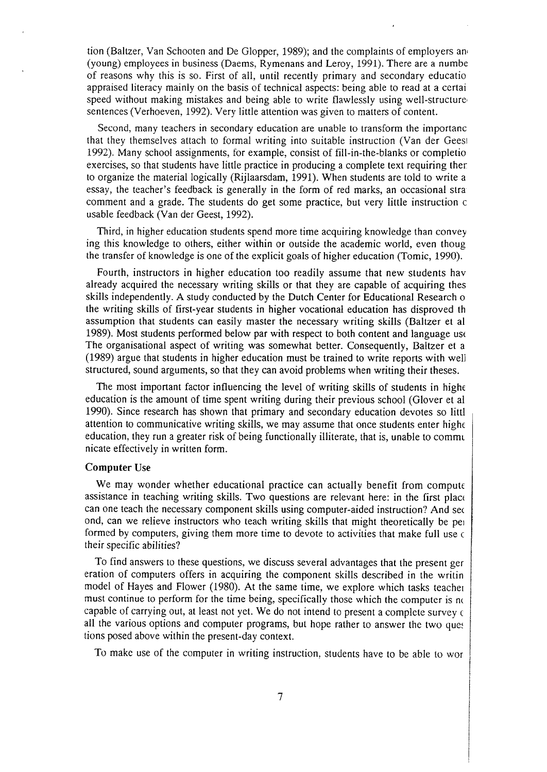tion (Baltzer, Van Schooten and De Glopper, 1989); and the complaints of employers and (young) employees in business (Daems, Rymenans and Leroy, 1991). There are a numbe of reasons why this is so. First of all, until recently primary and secondary educatio appraised literacy mainly on the basis of technical aspects: being able to read at a certai speed without making mistakes and being able to write flawlessly using well-structure sentences (Verhoeven, 1992). Very little attention was given to matters of content.

Second, many teachers in secondary education are unable to transform the importanc that they themselves attach to formal writing into suitable instruction (Van der Geest 1992). Many school assignments, for example, consist of fill-in-the-blanks or completio exercises, so that students have little practice in producing a complete text requiring then to organize the material logically (Rijlaarsdam, 1991). When students are told to write a essay, the teacher's feedback is generally in the form of red marks, an occasional stra comment and a grade. The students do get some practice, but very little instruction c usable feedback (Van der Geest, 1992).

Third, in higher education students spend more time acquiring knowledge than convey ing this knowledge to others, either within or outside the academic world, even thoug the transfer of knowledge is one of the explicit goals of higher education (Tomic, 1990).

Fourth, instructors in higher education too readily assume that new students hav already acquired the necessary writing skills or that they are capable of acquiring thes skills independently. A study conducted by the Dutch Center for Educational Research of the writing skills of first-year students in higher vocational education has disproved th assumption that students can easily master the necessary writing skills (Baltzer et al 1989). Most students performed below par with respect to both content and language use The organisational aspect of writing was somewhat better. Consequently, Baltzer et a (1989) argue that students in higher education must be trained to write reports with well structured, sound arguments, so that they can avoid problems when writing their theses.

The most important factor influencing the level of writing skills of students in highe education is the amount of time spent writing during their previous school (Glover et al 1990). Since research has shown that primary and secondary education devotes so littl attention to communicative writing skills, we may assume that once students enter higher education, they run a greater risk of being functionally illiterate, that is, unable to commu nicate effectively in written form.

#### **Computer Use**

We may wonder whether educational practice can actually benefit from compute assistance in teaching writing skills. Two questions are relevant here: in the first place can one teach the necessary component skills using computer-aided instruction? And sec ond, can we relieve instructors who teach writing skills that might theoretically be per formed by computers, giving them more time to devote to activities that make full use c their specific abilities?

To find answers to these questions, we discuss several advantages that the present ger eration of computers offers in acquiring the component skills described in the writin model of Hayes and Flower (1980). At the same time, we explore which tasks teacher must continue to perform for the time being, specifically those which the computer is no capable of carrying out, at least not yet. We do not intend to present a complete survey of all the various options and computer programs, but hope rather to answer the two quest tions posed above within the present-day context.

To make use of the computer in writing instruction, students have to be able to wor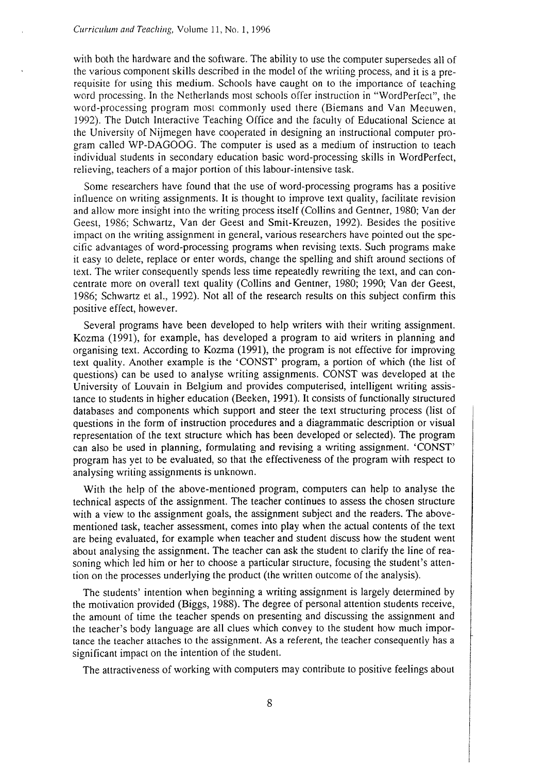with both the hardware and the software. The ability to use the computer supersedes all of the various component skills described in the model of the writing process, and it is a prerequisite for using this medium. Schools have caught on to the importance of teaching word processing. In the Netherlands most schools offer instruction in "WordPerfect", the word-processing program most commonly used there (Biemans and Van Meeuwen, 1992). The Dutch Interactive Teaching Office and the faculty of Educational Science at the University of Nijmegen have cooperated in designing an instructional computer program called WP-DAGOOG. The computer is used as a medium of instruction to teach individual students in secondary education basic word-processing skills in WordPerfect, relieving, teachers of a major portion of this labour-intensive task.

Some researchers have found that the use of word-processing programs has a positive influence on writing assignments. It is thought to improve text quality, facilitate revision and allow more insight into the writing process itself (Collins and Gentner, 1980; Van der Geest, 1986; Schwartz, Van der Geest and Smit-Kreuzen, 1992). Besides the positive impact on the writing assignment in general, various researchers have pointed out the specific advantages of word-processing programs when revising texts. Such programs make it easy to delete, replace or enter words, change the spelling and shift around sections of text. The writer consequently spends less time repeatedly rewriting the text, and can concentrate more on overall text quality (Collins and Gentner, 1980; 1990; Van der Geest, 1986; Schwartz et al., 1992). Not all of the research results on this subject confirm this positive effect, however.

Several programs have been developed to help writers with their writing assignment. Kozma (1991), for example, has developed a program to aid writers in planning and organising text. According to Kozma (1991), the program is not effective for improving text quality. Another example is the 'CONST' program, a portion of which (the list of questions) can be used to analyse writing assignments. CONST was developed at the University of Louvain in Belgium and provides computerised, intelligent writing assistance to students in higher education (Beeken, 1991). It consists of functionally structured databases and components which support and steer the text structuring process (list of questions in the form of instruction procedures and a diagrammatic description or visual representation of the text structure which has been developed or selected). The program can also be used in planning, formulating and revising a writing assignment. 'CONST' program has yet to be evaluated, so that the effectiveness of the program with respect to analysing writing assignments is unknown.

With the help of the above-mentioned program, computers can help to analyse the technical aspects of the assignment. The teacher continues to assess the chosen structure with a view to the assignment goals, the assignment subject and the readers. The abovementioned task, teacher assessment, comes into play when the actual contents of the text are being evaluated, for example when teacher and student discuss how the student went about analysing the assignment. The teacher can ask the student to clarify the line of reasoning which led him or her to choose a particular structure, focusing the student's attention on the processes underlying the product (the written outcome of the analysis).

The students' intention when beginning a writing assignment is largely determined by the motivation provided (Biggs, 1988). The degree of personal attention students receive, the amount of time the teacher spends on presenting and discussing the assignment and the teacher's body language are all clues which convey to the student how much importance the teacher attaches to the assignment. As a referent, the teacher consequently has a significant impact on the intention of the student.

The attractiveness of working with computers may contribute to positive feelings about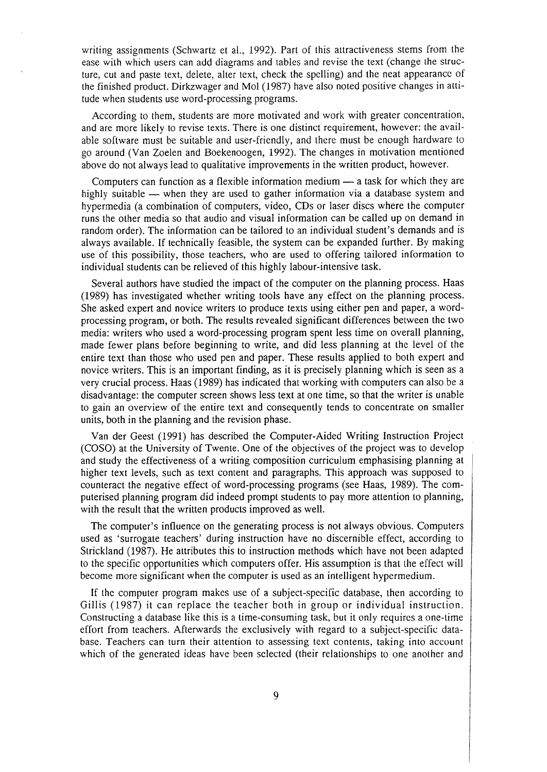writing assignments (Schwartz et al., 1992). Part of this attractiveness stems from the ease with which users can add diagrams and tables and revise the text (change the structure, cut and paste text, delete, alter text, check the spelling) and the neat appearance of the finished product. Dirkzwager and Mol (1987) have also noted positive changes in attitude when students use word-processing programs.

According to them, students are more motivated and work with greater concentration, and are more likely to revise texts. There is one distinct requirement, however: the available software must be suitable and user-friendly, and there must be enough hardware to go around (Van Zoelen and Boekenoogen, 1992). The changes in motivation mentioned above do not always lead to qualitative improvements in the written product, however.

Computers can function as a flexible information medium — a task for which they are highly suitable — when they are used to gather information via a database system and hypermedia (a combination of computers, video, CDs or laser discs where the computer runs the other media so that audio and visual information can be called up on demand in random order). The information can be tailored to an individual student's demands and is always available. If technically feasible, the system can be expanded further. By making use of this possibility, those teachers, who are used to offering tailored information to individual students can be relieved of this highly labour-intensive task.

Several authors have studied the impact of the computer on the planning process. Haas (1989) has investigated whether writing tools have any effect on the planning process. She asked expert and novice writers to produce texts using either pen and paper, a wordprocessing program, or both. The results revealed significant differences between the two media: writers who used a word-processing program spent less time on overall planning, made fewer plans before beginning to write, and did less planning at the level of the entire text than those who used pen and paper. These results applied to both expert and novice writers. This is an important finding, as it is precisely planning which is seen as a very crucial process. Haas (1989) has indicated that working with computers can also be a disadvantage: the computer screen shows less text at one time, so that the writer is unable to gain an overview of the entire text and consequently tends to concentrate on smaller units, both in the planning and the revision phase.

Van der Geest (1991) has described the Computer-Aided Writing Instruction Project (COSO) at the University of Twente. One of the objectives of the project was to develop and study the effectiveness of a writing composition curriculum emphasising planning at higher text levels, such as text content and paragraphs. This approach was supposed to counteract the negative effect of word-processing programs (see Haas, 1989). The computerised planning program did indeed prompt students to pay more attention to planning, with the result that the written products improved as well.

The computer's influence on the generating process is not always obvious. Computers used as 'surrogate teachers' during instruction have no discernible effect, according to Strickland (1987). He attributes this to instruction methods which have not been adapted to the specific opportunities which computers offer. His assumption is that the effect will become more significant when the computer is used as an intelligent hypermedium.

If the computer program makes use of a subject-specific database, then according to Gillis (1987) it can replace the teacher both in group or individual instruction. Constructing a database like this is a time-consuming task, but it only requires a one-time effort from teachers. Afterwards the exclusively with regard to a subject-specific database. Teachers can turn their attention to assessing text contents, taking into account which of the generated ideas have been selected (their relationships to one another and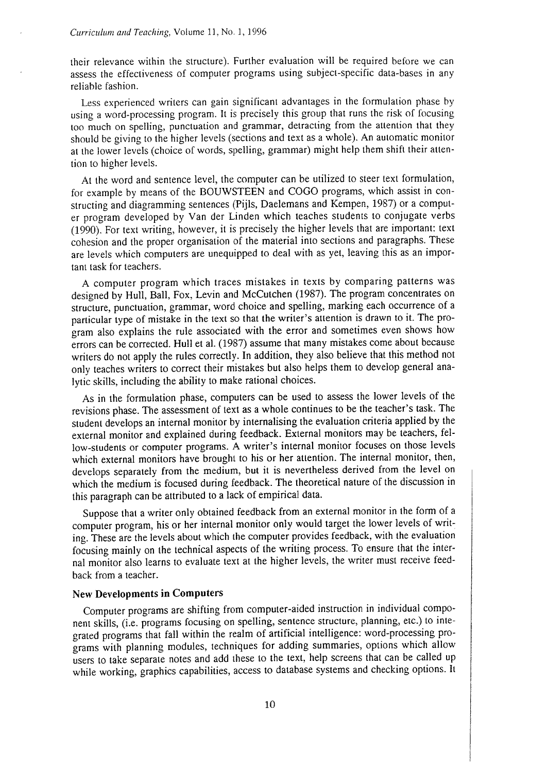their relevance within the structure). Further evaluation will be required before we can assess the effectiveness of computer programs using subject-specific data-bases in any reliable fashion.

Less experienced writers can gain significant advantages in the formulation phase by using a word-processing program. It is precisely this group that runs the risk of focusing too much on spelling, punctuation and grammar, detracting from the attention that they should be giving to the higher levels (sections and text as a whole). An automatic monitor at the lower levels (choice of words, spelling, grammar) might help them shift their attention to higher levels.

At the word and sentence level, the computer can be utilized to steer text formulation, for example by means of the BOUWSTEEN and COGO programs, which assist in constructing and diagramming sentences (Pijls, Daelemans and Kempen, 1987) or a computer program developed by Van der Linden which teaches students to conjugate verbs (1990). For text writing, however, it is precisely the higher levels that are important: text cohesion and the proper organisation of the material into sections and paragraphs. These are levels which computers are unequipped to deal with as yet, leaving this as an important task for teachers.

A computer program which traces mistakes in texts by comparing patterns was designed by Hull, Ball, Fox, Levin and McCutchen (1987). The program concentrates on structure, punctuation, grammar, word choice and spelling, marking each occurrence of a particular type of mistake in the text so that the writer's attention is drawn to it. The program also explains the rule associated with the error and sometimes even shows how errors can be corrected. Hull et al. (1987) assume that many mistakes come about because writers do not apply the rules correctly. In addition, they also believe that this method not only teaches writers to correct their mistakes but also helps them to develop general analytic skills, including the ability to make rational choices.

As in the formulation phase, computers can be used to assess the lower levels of the revisions phase. The assessment of text as a whole continues to be the teacher's task. The student develops an internal monitor by internalising the evaluation criteria applied by the external monitor and explained during feedback. External monitors may be teachers, fellow-students or computer programs. A writer's internal monitor focuses on those levels which external monitors have brought to his or her attention. The internal monitor, then, develops separately from the medium, but it is nevertheless derived from the level on which the medium is focused during feedback. The theoretical nature of the discussion in this paragraph can be attributed to a lack of empirical data.

Suppose that a writer only obtained feedback from an external monitor in the form of a computer program, his or her internal monitor only would target the lower levels of writing. These are the levels about which the computer provides feedback, with the evaluation focusing mainly on the technical aspects of the writing process. To ensure that the internal monitor also learns to evaluate text at the higher levels, the writer must receive feedback from a teacher.

# **New Developments in Computers**

Computer programs are shifting from computer-aided instruction in individual component skills, (i.e. programs focusing on spelling, sentence structure, planning, etc.) to integrated programs that fall within the realm of artificial intelligence: word-processing programs with planning modules, techniques for adding summaries, options which allow users to take separate notes and add these to the text, help screens that can be called up while working, graphics capabilities, access to database systems and checking options. It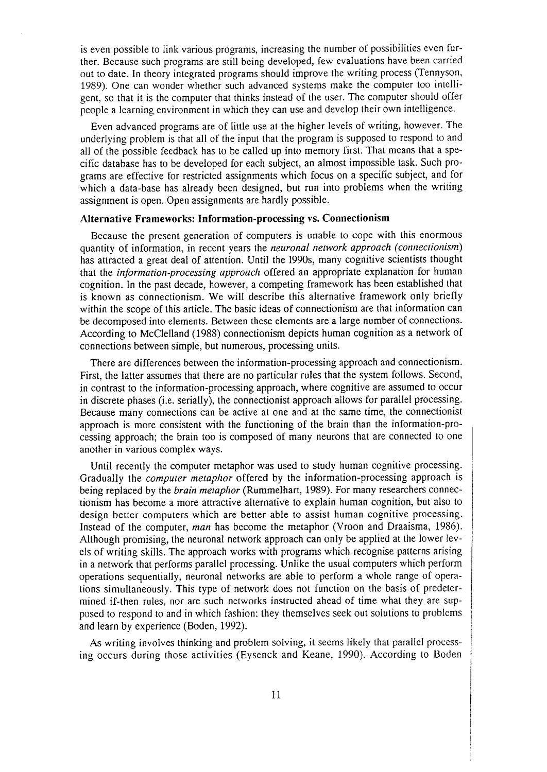is even possible to link various programs, increasing the number of possibilities even further. Because such programs are still being developed, few evaluations have been carried out to date. In theory integrated programs should improve the writing process (Tennyson, 1989). One can wonder whether such advanced systems make the computer too intelligent, so that it is the computer that thinks instead of the user. The computer should offer people a learning environment in which they can use and develop their own intelligence.

Even advanced programs are of little use at the higher levels of writing, however. The underlying problem is that all of the input that the program is supposed to respond to and all of the possible feedback has to be called up into memory first. That means that a specific database has to be developed for each subject, an almost impossible task. Such programs are effective for restricted assignments which focus on a specific subject, and for which a data-base has already been designed, but run into problems when the writing assignment is open. Open assignments are hardly possible.

#### **Alternative Frameworks: Information-processing vs. Connectionism**

Because the present generation of computers is unable to cope with this enormous quantity of information, in recent years the neuronal network approach (connectionism) has attracted a great deal of attention. Until the 1990s, many cognitive scientists thought that the information-processing approach offered an appropriate explanation for human cognition. In the past decade, however, a competing framework has been established that is known as connectionism. We will describe this alternative framework only briefly within the scope of this article. The basic ideas of connectionism are that information can be decomposed into elements. Between these elements are a large number of connections. According to McClelland (1988) connectionism depicts human cognition as a network of connections between simple, but numerous, processing units.

There are differences between the information-processing approach and connectionism. First, the latter assumes that there are no particular rules that the system follows. Second, in contrast to the information-processing approach, where cognitive are assumed to occur in discrete phases (i.e. serially), the connectionist approach allows for parallel processing. Because many connections can be active at one and at the same time, the connectionist approach is more consistent with the functioning of the brain than the information-processing approach; the brain too is composed of many neurons that are connected to one another in various complex ways.

Until recently the computer metaphor was used to study human cognitive processing. Gradually the *computer metaphor* offered by the information-processing approach is being replaced by the brain metaphor (Rummelhart, 1989). For many researchers connectionism has become a more attractive alternative to explain human cognition, but also to design better computers which are better able to assist human cognitive processing. Instead of the computer, man has become the metaphor (Vroon and Draaisma, 1986). Although promising, the neuronal network approach can only be applied at the lower levels of writing skills. The approach works with programs which recognise patterns arising in a network that performs parallel processing. Unlike the usual computers which perform operations sequentially, neuronal networks are able to perform a whole range of operations simultaneously. This type of network does not function on the basis of predetermined if-then rules, nor are such networks instructed ahead of time what they are supposed to respond to and in which fashion: they themselves seek out solutions to problems and learn by experience (Boden, 1992).

As writing involves thinking and problem solving, it seems likely that parallel processing occurs during those activities (Eysenck and Keane, 1990). According to Boden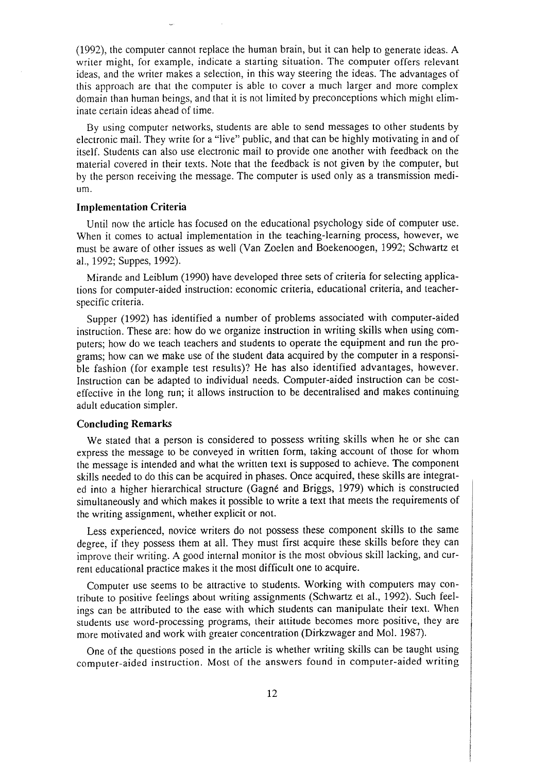(1992), the computer cannot replace the human brain, but it can help to generate ideas. A writer might, for example, indicate a starting situation. The computer offers relevant ideas, and the writer makes a selection, in this way steering the ideas. The advantages of this approach are that the computer is able to cover a much larger and more complex domain than human beings, and that it is not limited by preconceptions which might eliminate certain ideas ahead of time.

By using computer networks, students are able to send messages to other students by electronic mail. They write for a "live" public, and that can be highly motivating in and of itself. Students can also use electronic mail to provide one another with feedback on the material covered in their texts. Note that the feedback is not given by the computer, but by the person receiving the message. The computer is used only as a transmission medium.

# **Implementation Criteria**

Until now the article has focused on the educational psychology side of computer use. When it comes to actual implementation in the teaching-learning process, however, we must be aware of other issues as well (Van Zoelen and Boekenoogen, 1992; Schwartz et al., 1992; Suppes, 1992).

Mirande and Leiblum (1990) have developed three sets of criteria for selecting applications for computer-aided instruction: economic criteria, educational criteria, and teacherspecific criteria.

Supper (1992) has identified a number of problems associated with computer-aided instruction. These are: how do we organize instruction in writing skills when using computers; how do we teach teachers and students to operate the equipment and run the programs; how can we make use of the student data acquired by the computer in a responsible fashion (for example test results)? He has also identified advantages, however. Instruction can be adapted to individual needs. Computer-aided instruction can be costeffective in the long run; it allows instruction to be decentralised and makes continuing adult education simpler.

#### **Concluding Remarks**

We stated that a person is considered to possess writing skills when he or she can express the message to be conveyed in written form, taking account of those for whom the message is intended and what the written text is supposed to achieve. The component skills needed to do this can be acquired in phases. Once acquired, these skills are integrated into a higher hierarchical structure (Gagné and Briggs, 1979) which is constructed simultaneously and which makes it possible to write a text that meets the requirements of the writing assignment, whether explicit or not.

Less experienced, novice writers do not possess these component skills to the same degree, if they possess them at all. They must first acquire these skills before they can improve their writing. A good internal monitor is the most obvious skill lacking, and current educational practice makes it the most difficult one to acquire.

Computer use seems to be attractive to students. Working with computers may contribute to positive feelings about writing assignments (Schwartz et al., 1992). Such feelings can be attributed to the ease with which students can manipulate their text. When students use word-processing programs, their attitude becomes more positive, they are more motivated and work with greater concentration (Dirkzwager and Mol. 1987).

One of the questions posed in the article is whether writing skills can be taught using computer-aided instruction. Most of the answers found in computer-aided writing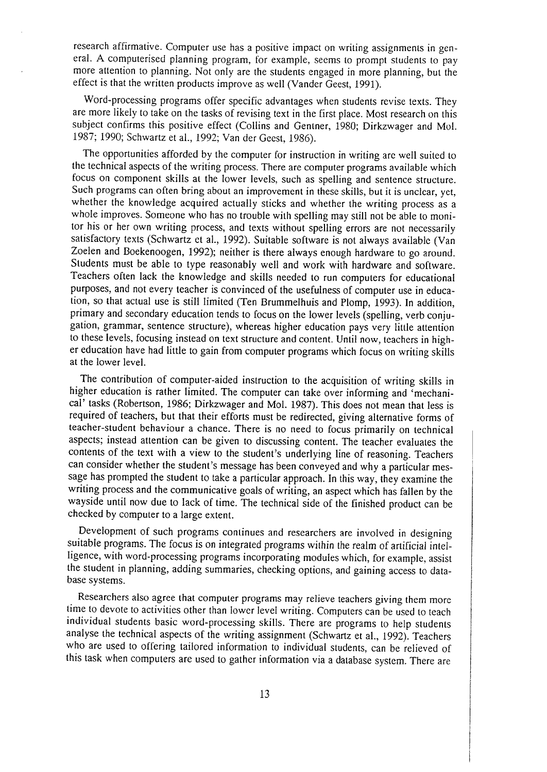research affirmative. Computer use has a positive impact on writing assignments in general. A computerised planning program, for example, seems to prompt students to pay more attention to planning. Not only are the students engaged in more planning, but the effect is that the written products improve as well (Vander Geest, 1991).

Word-processing programs offer specific advantages when students revise texts. They are more likely to take on the tasks of revising text in the first place. Most research on this subject confirms this positive effect (Collins and Gentner, 1980; Dirkzwager and Mol. 1987; 1990; Schwartz et al., 1992; Van der Geest, 1986).

The opportunities afforded by the computer for instruction in writing are well suited to the technical aspects of the writing process. There are computer programs available which focus on component skills at the lower levels, such as spelling and sentence structure. Such programs can often bring about an improvement in these skills, but it is unclear, yet, whether the knowledge acquired actually sticks and whether the writing process as a whole improves. Someone who has no trouble with spelling may still not be able to monitor his or her own writing process, and texts without spelling errors are not necessarily satisfactory texts (Schwartz et al., 1992). Suitable software is not always available (Van Zoelen and Boekenoogen, 1992); neither is there always enough hardware to go around. Students must be able to type reasonably well and work with hardware and software. Teachers often lack the knowledge and skills needed to run computers for educational purposes, and not every teacher is convinced of the usefulness of computer use in education, so that actual use is still limited (Ten Brummelhuis and Plomp, 1993). In addition, primary and secondary education tends to focus on the lower levels (spelling, verb conjugation, grammar, sentence structure), whereas higher education pays very little attention to these levels, focusing instead on text structure and content. Until now, teachers in higher education have had little to gain from computer programs which focus on writing skills at the lower level.

The contribution of computer-aided instruction to the acquisition of writing skills in higher education is rather limited. The computer can take over informing and 'mechanical' tasks (Robertson, 1986; Dirkzwager and Mol. 1987). This does not mean that less is required of teachers, but that their efforts must be redirected, giving alternative forms of teacher-student behaviour a chance. There is no need to focus primarily on technical aspects; instead attention can be given to discussing content. The teacher evaluates the contents of the text with a view to the student's underlying line of reasoning. Teachers can consider whether the student's message has been conveyed and why a particular message has prompted the student to take a particular approach. In this way, they examine the writing process and the communicative goals of writing, an aspect which has fallen by the wayside until now due to lack of time. The technical side of the finished product can be checked by computer to a large extent.

Development of such programs continues and researchers are involved in designing suitable programs. The focus is on integrated programs within the realm of artificial intelligence, with word-processing programs incorporating modules which, for example, assist the student in planning, adding summaries, checking options, and gaining access to database systems.

Researchers also agree that computer programs may relieve teachers giving them more time to devote to activities other than lower level writing. Computers can be used to teach individual students basic word-processing skills. There are programs to help students analyse the technical aspects of the writing assignment (Schwartz et al., 1992). Teachers who are used to offering tailored information to individual students, can be relieved of this task when computers are used to gather information via a database system. There are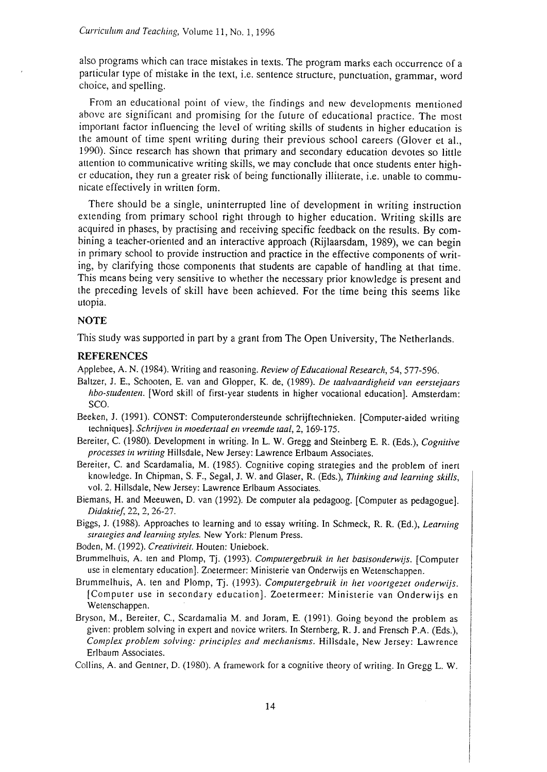also programs which can trace mistakes in texts. The program marks each occurrence of a particular type of mistake in the text, i.e. sentence structure, punctuation, grammar, word choice, and spelling.

From an educational point of view, the findings and new developments mentioned above are significant and promising for the future of educational practice. The most important factor influencing the level of writing skills of students in higher education is the amount of time spent writing during their previous school careers (Glover et al., 1990). Since research has shown that primary and secondary education devotes so little attention to communicative writing skills, we may conclude that once students enter higher education, they run a greater risk of being functionally illiterate, i.e. unable to communicate effectively in written form.

There should be a single, uninterrupted line of development in writing instruction extending from primary school right through to higher education. Writing skills are acquired in phases, by practising and receiving specific feedback on the results. By combining a teacher-oriented and an interactive approach (Rijlaarsdam, 1989), we can begin in primary school to provide instruction and practice in the effective components of writing, by clarifying those components that students are capable of handling at that time. This means being very sensitive to whether the necessary prior knowledge is present and the preceding levels of skill have been achieved. For the time being this seems like utopia.

# **NOTE**

This study was supported in part by a grant from The Open University, The Netherlands.

#### **REFERENCES**

Applebee, A. N. (1984). Writing and reasoning. Review of Educational Research, 54, 577-596.

- Baltzer, J. E., Schooten, E. van and Glopper, K. de, (1989). De taalvaardigheid van eerstejaars hbo-sudenten. [Word skill of first-year students in higher vocational education]. Amsterdam: SCO.
- Beeken, J. (1991). CONST: Computerondersteunde schrijftechnieken. [Computer-aided writing techniques]. Schrijven in moedertaal en vreemde taal, 2, 169-175.
- Bereiter, C. (1980). Development in writing. In L. W. Gregg and Steinberg E. R. (Eds.), Cognitive processes in writing Hillsdale, New Jersey: Lawrence Erlbaum Associates.
- Bereiter, C. and Scardamalia, M. (1985). Cognitive coping strategies and the problem of inert knowledge. In Chipman, S. F., Segal, J. W. and Glaser, R. (Eds.), Thinking and learning skills, vol. 2. Hillsdale, New Jersey: Lawrence Erlbaum Associates.
- Biemans, H. and Meeuwen, D. van (1992). De computer ala pedagoog. [Computer as pedagogue]. Didaktief, 22, 2, 26-27.
- Biggs, J. (1988). Approaches to learning and to essay writing. In Schmeck, R. R. (Ed.), Learning strategies and learning styles. New York: Plenum Press.
- Boden, M. (1992). Creativiteit. Houten: Unieboek.
- Brummelhuis, A. ten and Plomp, Tj. (1993). Computergebruik in het basisonderwijs. [Computer use in elementary education]. Zoetermeer: Ministerie van Onderwijs en Wetenschappen.
- Brummelhuis, A. ten and Plomp, Tj. (1993). Computergebruik in het voortgezet onderwijs. [Computer use in secondary education]. Zoetermeer: Ministerie van Onderwijs en Wetenschappen.
- Bryson, M., Bereiter, C., Scardamalia M. and Joram, E. (1991). Going beyond the problem as given: problem solving in expert and novice writers. In Sternberg, R. J. and Frensch P.A. (Eds.), Complex problem solving: principles and mechanisms. Hillsdale, New Jersey: Lawrence Erlbaum Associates.
- Collins, A. and Gentner, D. (1980). A framework for a cognitive theory of writing. In Gregg L. W.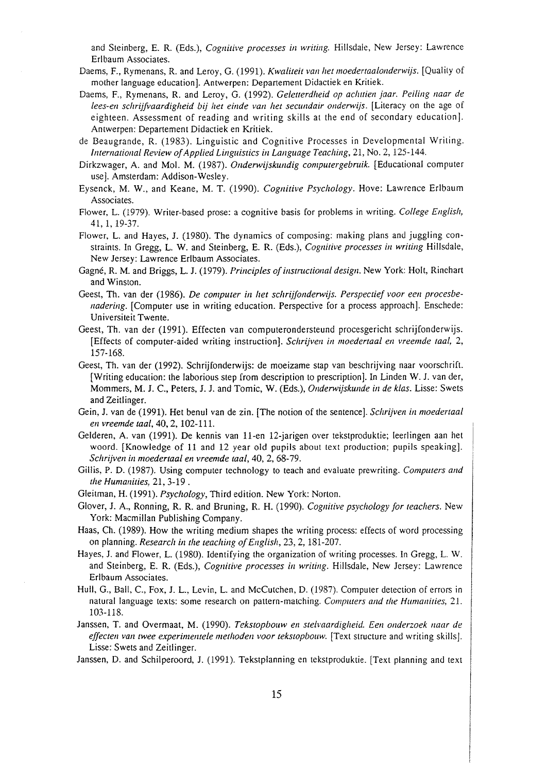and Steinberg, E. R. (Eds.), Cognitive processes in writing. Hillsdale, New Jersey: Lawrence Erlbaum Associates.

- Daems, F., Rymenans, R. and Leroy, G. (1991). Kwaliteit van het moedertaalonderwijs. [Quality of mother language education]. Antwerpen: Departement Didactiek en Kritiek.
- Daems, F., Rymenans, R. and Leroy, G. (1992). Geletterdheid op achitien jaar. Peiling naar de lees-en schrijfvaardigheid bij het einde van het secundair onderwijs. [Literacy on the age of eighteen. Assessment of reading and writing skills at the end of secondary education]. Antwerpen: Departement Didactiek en Kritiek.
- de Beaugrande, R. (1983). Linguistic and Cognitive Processes in Developmental Writing. International Review of Applied Linguistics in Language Teaching, 21, No. 2, 125-144.
- Dirkzwager, A. and Mol. M. (1987). Onderwijskundig computergebruik. [Educational computer use]. Amsterdam: Addison-Wesley.
- Eysenck, M. W., and Keane, M. T. (1990). Cognitive Psychology. Hove: Lawrence Erlbaum Associates.
- Flower, L. (1979). Writer-based prose: a cognitive basis for problems in writing. College English, 41, 1, 19-37.
- Flower, L. and Hayes, J. (1980). The dynamics of composing: making plans and juggling constraints. In Gregg, L. W. and Steinberg, E. R. (Eds.), Cognitive processes in writing Hillsdale, New Jersey: Lawrence Erlbaum Associates.
- Gagné, R. M. and Briggs, L. J. (1979). Principles of instructional design. New York: Holt, Rinchart and Winston.
- Geest, Th. van der (1986). De computer in het schrijfonderwijs. Perspectief voor een procesbenadering. [Computer use in writing education. Perspective for a process approach]. Enschede: Universiteit Twente.
- Geest, Th. van der (1991). Effecten van computerondersteund procesgericht schrijfonderwijs. [Effects of computer-aided writing instruction]. Schrijven in moedertaal en vreemde taal, 2, 157-168.
- Geest, Th. van der (1992). Schrijfonderwijs: de moeizame stap van beschrijving naar voorschrift. [Writing education: the laborious step from description to prescription]. In Linden W. J. van der, Mommers, M. J. C., Peters, J. J. and Tomic, W. (Eds.), Onderwijskunde in de klas. Lisse: Swets and Zeitlinger.
- Gein, J. van de (1991). Het benul van de zin. [The notion of the sentence]. Schrijven in moedertaal en vreemde taal, 40, 2, 102-111.
- Gelderen, A. van (1991). De kennis van 11-en 12-jarigen over tekstproduktie; leerlingen aan het woord. [Knowledge of 11 and 12 year old pupils about text production; pupils speaking]. Schrijven in moedertaal en vreemde taal, 40, 2, 68-79.
- Gillis, P. D. (1987). Using computer technology to teach and evaluate prewriting. Computers and the Humanities, 21, 3-19.
- Gleitman, H. (1991). Psychology, Third edition. New York: Norton.
- Glover, J. A., Ronning, R. R. and Bruning, R. H. (1990). Cognitive psychology for teachers. New York: Macmillan Publishing Company.
- Haas, Ch. (1989). How the writing medium shapes the writing process: effects of word processing on planning. Research in the teaching of English, 23, 2, 181-207.
- Hayes, J. and Flower, L. (1980). Identifying the organization of writing processes. In Gregg, L. W. and Steinberg, E. R. (Eds.), Cognitive processes in writing. Hillsdale, New Jersey: Lawrence Erlbaum Associates.
- Hull, G., Ball, C., Fox, J. L., Levin, L. and McCutchen, D. (1987). Computer detection of errors in natural language texts: some research on pattern-matching. Computers and the Humanities, 21. 103-118.
- Janssen, T. and Overmaat, M. (1990). Tekstopbouw en stelvaardigheid. Een onderzoek naar de effecten van twee experimentele methoden voor tekstopbouw. [Text structure and writing skills]. Lisse: Swets and Zeitlinger.
- Janssen, D. and Schilperoord, J. (1991). Tekstplanning en tekstproduktie. [Text planning and text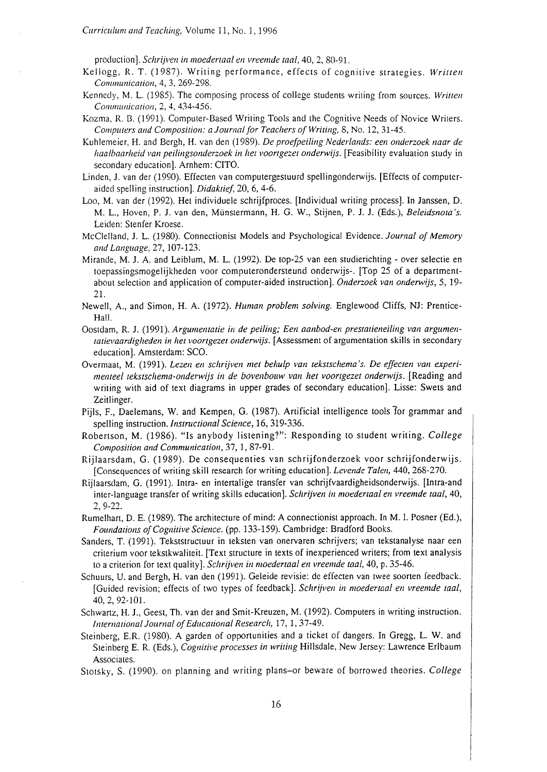production]. Schrijven in moedertaal en vreemde taal, 40, 2, 80-91.

- Kellogg, R. T. (1987). Writing performance, effects of cognitive strategies. Written Communication, 4, 3, 269-298.
- Kennedy, M. L. (1985). The composing process of college students writing from sources. Written Communication, 2, 4, 434-456.
- Kozma, R. B. (1991). Computer-Based Writing Tools and the Cognitive Needs of Novice Writers. Computers and Composition: a Journal for Teachers of Writing, 8, No. 12, 31-45.
- Kuhlemeier, H. and Bergh, H. van den (1989). De proefpeiling Nederlands: een onderzoek naar de haalbaarheid van peilingsonderzoek in het voortgezet onderwijs. [Feasibility evaluation study in secondary education]. Arnhem: CITO.
- Linden, J. van der (1990). Effecten van computergestuurd spellingonderwijs. [Effects of computeraided spelling instruction]. Didaktief, 20, 6, 4-6.
- Loo, M. van der (1992). Het individuele schrijfproces. [Individual writing process]. In Janssen, D. M. L., Hoven, P. J. van den, Münstermann, H. G. W., Stijnen, P. J. J. (Eds.), Beleidsnota's. Leiden: Stenfer Kroese.
- McClelland, J. L. (1980). Connectionist Models and Psychological Evidence. Journal of Memory and Language, 27, 107-123.
- Mirande, M. J. A. and Leiblum, M. L. (1992). De top-25 van een studierichting over selectie en toepassingsmogelijkheden voor computerondersteund onderwijs-. [Top 25 of a departmentabout selection and application of computer-aided instruction]. Onderzoek van onderwijs, 5, 19-21.
- Newell, A., and Simon, H. A. (1972). Human problem solving. Englewood Cliffs, NJ: Prentice-Hall.
- Oostdam, R. J. (1991). Argumentatie in de peiling; Een aanbod-en prestatieneiling van argumentatievaardigheden in het voortgezet onderwijs. [Assessment of argumentation skills in secondary education]. Amsterdam: SCO.
- Overmaat, M. (1991). Lezen en schrijven met behulp van tekstschema's. De effecten van experimenteel tekstschema-onderwijs in de bovenbouw van het voortgezet onderwijs. [Reading and writing with aid of text diagrams in upper grades of secondary education]. Lisse: Swets and Zeitlinger.
- Pijls, F., Daelemans, W. and Kempen, G. (1987). Artificial intelligence tools for grammar and spelling instruction. Instructional Science, 16, 319-336.
- Robertson, M. (1986). "Is anybody listening?": Responding to student writing. College Composition and Communication, 37, 1, 87-91.
- Rijlaarsdam, G. (1989). De consequenties van schrijfonderzoek voor schrijfonderwijs. [Consequences of writing skill research for writing education]. Levende Talen, 440, 268-270.
- Rijlaarsdam, G. (1991). Intra- en intertalige transfer van schrijfvaardigheidsonderwijs. [Intra-and inter-language transfer of writing skills education]. Schrijven in moedertaal en vreemde taal, 40,  $2, 9-22.$
- Rumelhart, D. E. (1989). The architecture of mind: A connectionist approach. In M. I. Posner (Ed.), Foundations of Cognitive Science. (pp. 133-159). Cambridge: Bradford Books.
- Sanders, T. (1991). Tekststructuur in teksten van onervaren schrijvers; van tekstanalyse naar een criterium voor tekstkwaliteit. [Text structure in texts of inexperienced writers; from text analysis to a criterion for text quality]. Schrijven in moedertaal en vreemde taal, 40, p. 35-46.
- Schuurs, U. and Bergh, H. van den (1991). Geleide revisie: de effecten van twee soorten feedback. [Guided revision; effects of two types of feedback]. Schrijven in moedertaal en vreemde taal, 40, 2, 92-101.
- Schwartz, H. J., Geest, Th. van der and Smit-Kreuzen, M. (1992). Computers in writing instruction. International Journal of Educational Research, 17, 1, 37-49.
- Steinberg, E.R. (1980). A garden of opportunities and a ticket of dangers. In Gregg, L. W. and Steinberg E. R. (Eds.), Cognitive processes in writing Hillsdale, New Jersey: Lawrence Erlbaum Associates.
- Stotsky, S. (1990). on planning and writing plans-or beware of borrowed theories. College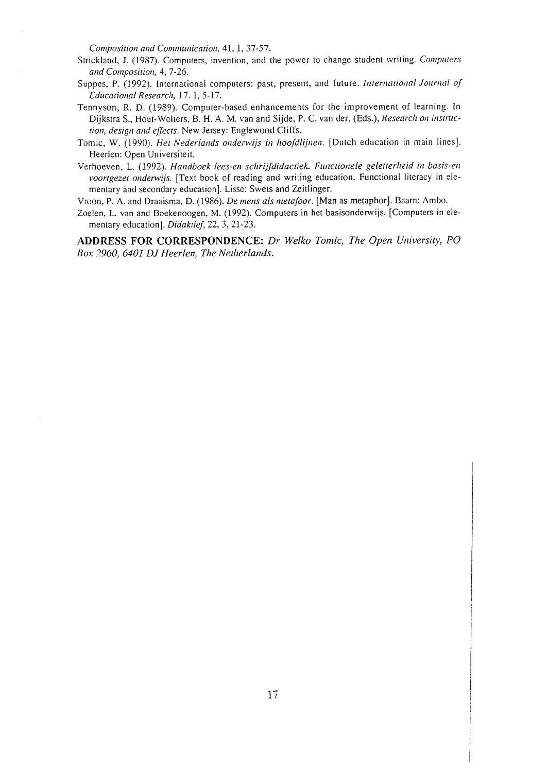Composition and Communication, 41, 1, 37-57.

- Strickland, J. (1987). Computers, invention, and the power to change student writing. Computers and Composition, 4, 7-26.
- Suppes, P. (1992). International computers: past, present, and future. International Journal of Educational Research, 17. 1, 5-17.
- Tennyson, R. D. (1989). Computer-based enhancements for the improvement of learning. In Dijkstra S., Hout-Wolters, B. H. A. M. van and Sijde, P. C. van der, (Eds.), Research on instruction, design and effects. New Jersey: Englewood Cliffs.
- Tomic, W. (1990). Het Nederlands onderwijs in hoofdlijnen. [Dutch education in main lines]. Heerlen: Open Universiteit.
- Verhoeven, L. (1992). Handboek lees-en schrijfdidactiek. Functionele geletterheid in basis-en voortgezet onderwijs. [Text book of reading and writing education. Functional literacy in elementary and secondary education]. Lisse: Swets and Zeitlinger.

Vroon, P. A. and Draaisma, D. (1986). De mens als metafoor. [Man as metaphor]. Baarn: Ambo.

Zoelen, L. van and Boekenoogen, M. (1992). Computers in het basisonderwijs. [Computers in elementary education]. Didaktief, 22, 3, 21-23.

ADDRESS FOR CORRESPONDENCE: Dr Welko Tomic, The Open University, PO Box 2960, 6401 DJ Heerlen, The Netherlands.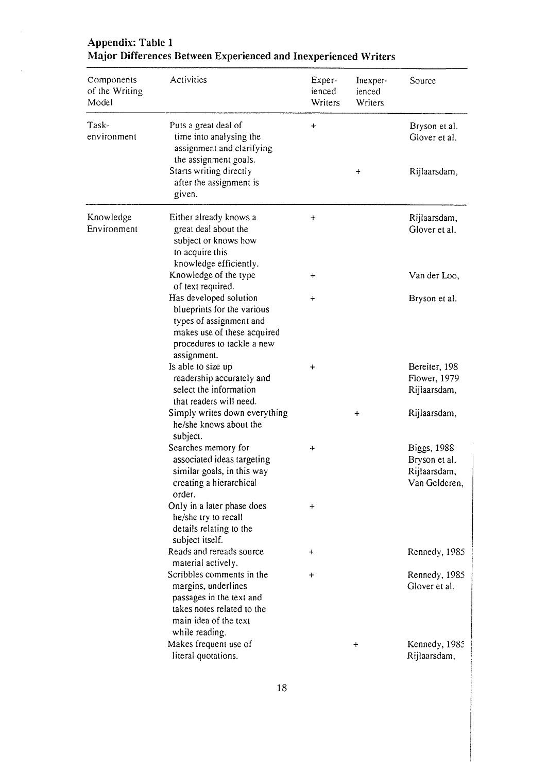| Components<br>of the Writing<br>Model | Activities                                                                                                                                                  | Exper-<br>ienced<br>Writers | Inexper-<br>ienced<br>Writers | Source                                                        |
|---------------------------------------|-------------------------------------------------------------------------------------------------------------------------------------------------------------|-----------------------------|-------------------------------|---------------------------------------------------------------|
| Task-<br>environment                  | Puts a great deal of<br>time into analysing the<br>assignment and clarifying<br>the assignment goals.                                                       | $\ddot{}$                   |                               | Bryson et al.<br>Glover et al.                                |
|                                       | Starts writing directly<br>after the assignment is<br>given.                                                                                                |                             | $\ddot{}$                     | Rijlaarsdam,                                                  |
| Knowledge<br>Environment              | Either already knows a<br>great deal about the<br>subject or knows how<br>to acquire this<br>knowledge efficiently.                                         | $\pmb{+}$                   |                               | Rijlaarsdam,<br>Glover et al.                                 |
|                                       | Knowledge of the type<br>of text required.                                                                                                                  | +                           |                               | Van der Loo,                                                  |
|                                       | Has developed solution<br>blueprints for the various<br>types of assignment and<br>makes use of these acquired<br>procedures to tackle a new<br>assignment. | $\boldsymbol{+}$            |                               | Bryson et al.                                                 |
|                                       | Is able to size up<br>readership accurately and<br>select the information<br>that readers will need.                                                        | +                           |                               | Bereiter, 198<br>Flower, 1979<br>Rijlaarsdam,                 |
|                                       | Simply writes down everything<br>he/she knows about the<br>subject.                                                                                         |                             | +                             | Rijlaarsdam,                                                  |
|                                       | Searches memory for<br>associated ideas targeting<br>similar goals, in this way<br>creating a hierarchical<br>order.                                        | +                           |                               | Biggs, 1988<br>Bryson et al.<br>Rijlaarsdam,<br>Van Gelderen, |
|                                       | Only in a later phase does<br>he/she try to recall<br>details relating to the<br>subject itself.                                                            | $\,{}^+$                    |                               |                                                               |
|                                       | Reads and rereads source<br>material actively.                                                                                                              | +                           |                               | Rennedy, 1985                                                 |
|                                       | Scribbles comments in the<br>margins, underlines<br>passages in the text and<br>takes notes related to the<br>main idea of the text<br>while reading.       | $\ddot{}$                   |                               | Rennedy, 1985<br>Glover et al.                                |
|                                       | Makes frequent use of<br>literal quotations.                                                                                                                |                             | $\ddot{}$                     | Kennedy, 1985<br>Rijlaarsdam,                                 |

 $\bar{\psi}$ 

# Appendix: Table 1<br>Major Differences Between Experienced and Inexperienced Writers

 $\lambda$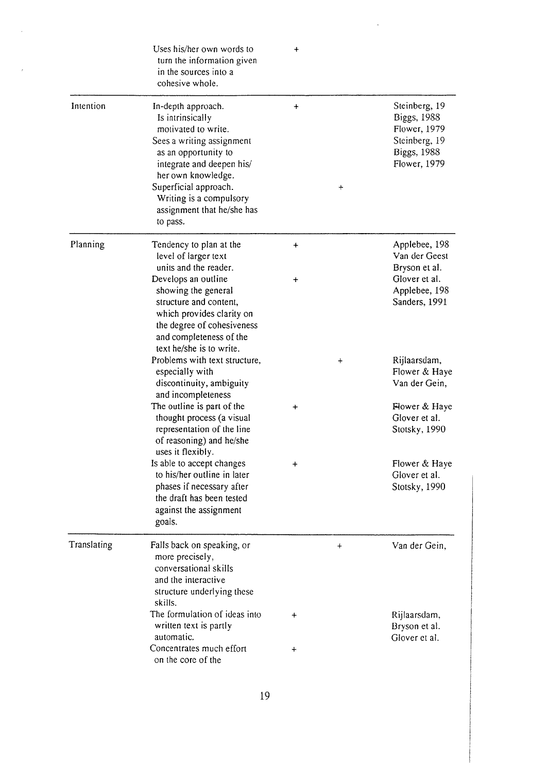|             | Uses his/her own words to<br>turn the information given<br>in the sources into a<br>cohesive whole.                                                                                                                                                                 | $\ddot{}$              |              |                                                                                                    |
|-------------|---------------------------------------------------------------------------------------------------------------------------------------------------------------------------------------------------------------------------------------------------------------------|------------------------|--------------|----------------------------------------------------------------------------------------------------|
| Intention   | In-depth approach.<br>Is intrinsically<br>motivated to write.<br>Sees a writing assignment<br>as an opportunity to<br>integrate and deepen his/<br>her own knowledge.<br>Superficial approach.<br>Writing is a compulsory<br>assignment that he/she has<br>to pass. | $\div$                 | $\ddag$      | Steinberg, 19<br>Biggs, 1988<br>Flower, 1979<br>Steinberg, 19<br>Biggs, 1988<br>Flower, 1979       |
| Planning    | Tendency to plan at the<br>level of larger text<br>units and the reader.<br>Develops an outline<br>showing the general<br>structure and content,<br>which provides clarity on<br>the degree of cohesiveness<br>and completeness of the<br>text he/she is to write.  | $\ddot{}$<br>$\ddot{}$ |              | Applebee, 198<br>Van der Geest<br>Bryson et al.<br>Glover et al.<br>Applebee, 198<br>Sanders, 1991 |
|             | Problems with text structure,<br>especially with<br>discontinuity, ambiguity<br>and incompleteness                                                                                                                                                                  |                        | $\,{}^{+}\,$ | Rijlaarsdam,<br>Flower & Haye<br>Van der Gein,                                                     |
|             | The outline is part of the<br>thought process (a visual<br>representation of the line<br>of reasoning) and he/she<br>uses it flexibly.                                                                                                                              | +                      |              | Flower & Haye<br>Glover et al.<br>Stotsky, 1990                                                    |
|             | Is able to accept changes<br>to his/her outline in later<br>phases if necessary after<br>the draft has been tested<br>against the assignment<br>goals.                                                                                                              | $\ddot{}$              |              | Flower & Haye<br>Glover et al.<br>Stotsky, 1990                                                    |
| Translating | Falls back on speaking, or<br>more precisely,<br>conversational skills<br>and the interactive<br>structure underlying these<br>skills.                                                                                                                              |                        | $\ddot{}$    | Van der Gein,                                                                                      |
|             | The formulation of ideas into<br>written text is partly<br>automatic.<br>Concentrates much effort<br>on the core of the                                                                                                                                             | $\ddot{}$<br>$\ddot{}$ |              | Rijlaarsdam,<br>Bryson et al.<br>Glover et al.                                                     |

 $\ddot{\phantom{0}}$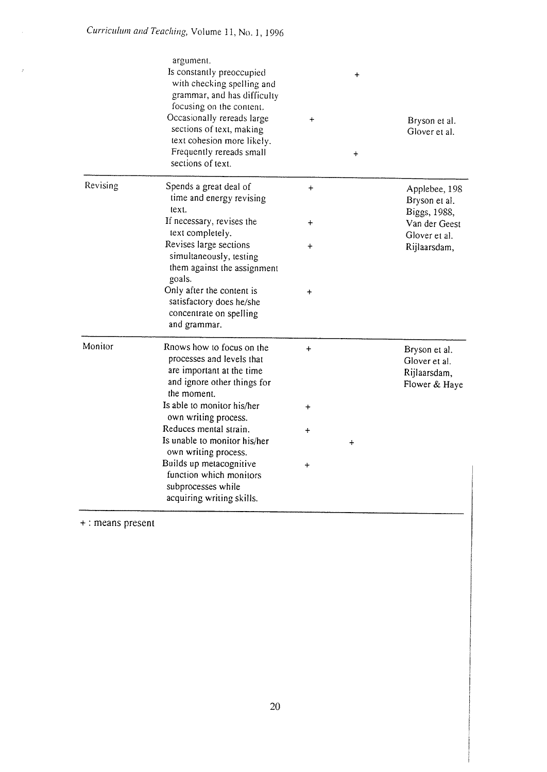$\bar{z}$ 

|          | argument.<br>Is constantly preoccupied<br>with checking spelling and<br>grammar, and has difficulty<br>focusing on the content.<br>Occasionally rereads large<br>sections of text, making<br>text cohesion more likely.<br>Frequently rereads small<br>sections of text. | $+$       | $\pmb{+}$<br>$+$ | Bryson et al.<br>Glover et al.                                  |
|----------|--------------------------------------------------------------------------------------------------------------------------------------------------------------------------------------------------------------------------------------------------------------------------|-----------|------------------|-----------------------------------------------------------------|
| Revising | Spends a great deal of<br>time and energy revising<br>text.                                                                                                                                                                                                              | $\ddot{}$ |                  | Applebee, 198<br>Bryson et al.<br>Biggs, 1988,                  |
|          | If necessary, revises the<br>text completely.                                                                                                                                                                                                                            | $\ddot{}$ |                  | Van der Geest<br>Glover et al.                                  |
|          | Revises large sections<br>simultaneously, testing<br>them against the assignment<br>goals.<br>Only after the content is<br>satisfactory does he/she<br>concentrate on spelling<br>and grammar.                                                                           | $\ddot{}$ |                  | Rijlaarsdam,                                                    |
|          |                                                                                                                                                                                                                                                                          | +         |                  |                                                                 |
| Monitor  | Rnows how to focus on the<br>processes and levels that<br>are important at the time<br>and ignore other things for<br>the moment.                                                                                                                                        | $\ddot{}$ |                  | Bryson et al.<br>Glover et al.<br>Rijlaarsdam,<br>Flower & Haye |
|          | Is able to monitor his/her<br>own writing process.                                                                                                                                                                                                                       | +         |                  |                                                                 |
|          | Reduces mental strain.<br>Is unable to monitor his/her<br>own writing process.                                                                                                                                                                                           | $\ddot{}$ | $\ddot{}$        |                                                                 |
|          | Builds up metacognitive<br>function which monitors<br>subprocesses while<br>acquiring writing skills.                                                                                                                                                                    | $\ddot{}$ |                  |                                                                 |

 $+$ : means present